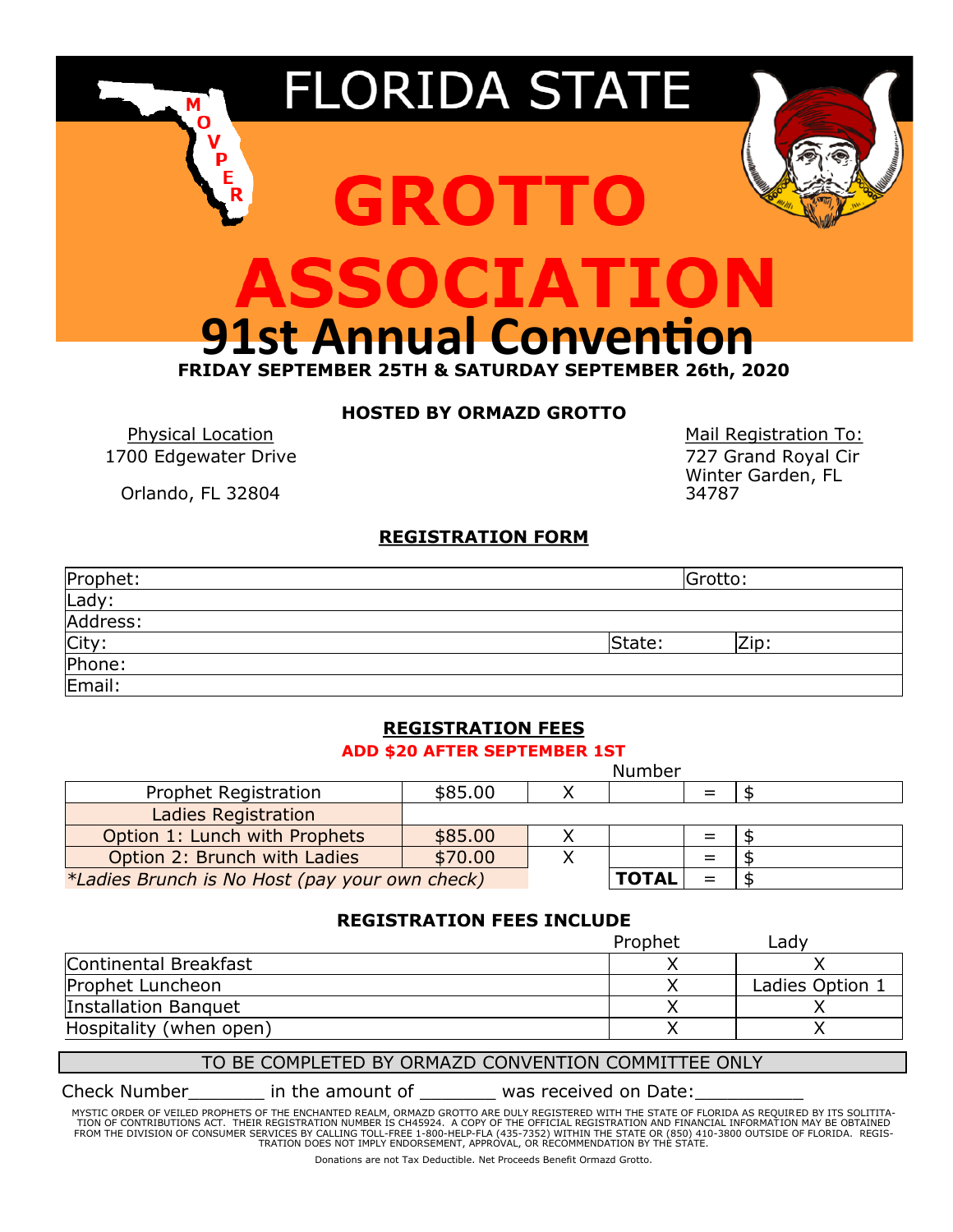

#### **HOSTED BY ORMAZD GROTTO**

1700 Edgewater Drive 727 Grand Royal Cir

Physical Location Mail Registration To: Winter Garden, FL 34787

Orlando, FL 32804

#### **REGISTRATION FORM**

| Prophet: |        | Grotto: |      |  |
|----------|--------|---------|------|--|
| Lady:    |        |         |      |  |
| Address: |        |         |      |  |
| City:    | State: |         | Zip: |  |
| Phone:   |        |         |      |  |
| Email:   |        |         |      |  |

#### **REGISTRATION FEES**

#### **ADD \$20 AFTER SEPTEMBER 1ST**

|                                                |         |  | Number       |     |  |
|------------------------------------------------|---------|--|--------------|-----|--|
| Prophet Registration                           | \$85.00 |  |              | $=$ |  |
| Ladies Registration                            |         |  |              |     |  |
| Option 1: Lunch with Prophets                  | \$85.00 |  |              | $=$ |  |
| Option 2: Brunch with Ladies                   | \$70.00 |  |              | $=$ |  |
| *Ladies Brunch is No Host (pay your own check) |         |  | <b>TOTAL</b> | $=$ |  |

#### **REGISTRATION FEES INCLUDE**

|                         | Prophet | Lady            |
|-------------------------|---------|-----------------|
| Continental Breakfast   |         |                 |
| Prophet Luncheon        |         | Ladies Option 1 |
| Installation Banquet    |         |                 |
| Hospitality (when open) |         |                 |

#### TO BE COMPLETED BY ORMAZD CONVENTION COMMITTEE ONLY

Check Number\_\_\_\_\_\_\_\_\_\_ in the amount of \_\_\_\_\_\_\_\_\_ was received on Date:

MYSTIC ORDER OF VEILED PROPHETS OF THE ENCHANTED REALM, ORMAZD GROTTO ARE DULY REGISTERED WITH THE STATE OF FLORIDA AS REQUIRED BY ITS SOLITITA-TION OF CONTRIBUTIONS ACT. THEIR REGISTRATION NUMBER IS CH45924. A COPY OF THE OFFICIAL REGISTRATION AND FINANCIAL INFORMATION MAY BE OBTAINED<br>FROM THE DIVISION OF CONSUMER SERVICES BY CALLING TOLL-FREE 1-800-HELP-FLA (4 TRATION DOES NOT IMPLY ENDORSEMENT, APPROVAL, OR RECOMMENDATION BY THE STATE.

Donations are not Tax Deductible. Net Proceeds Benefit Ormazd Grotto.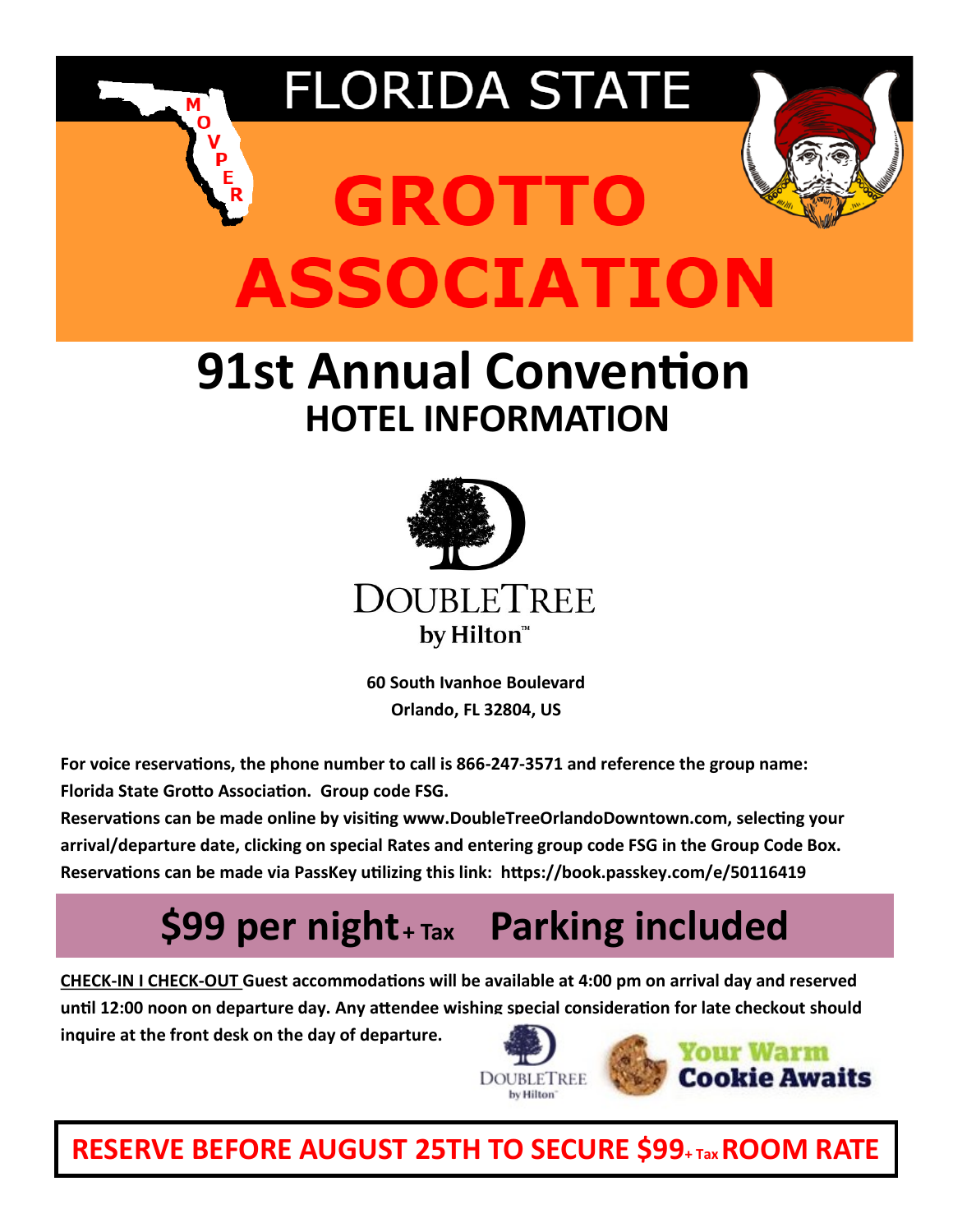

## **91st Annual Convention HOTEL INFORMATION**



**60 South Ivanhoe Boulevard Orlando, FL 32804, US**

**For voice reservations, the phone number to call is 866-247-3571 and reference the group name: Florida State Grotto Association. Group code FSG.** 

**Reservations can be made online by visiting www.DoubleTreeOrlandoDowntown.com, selecting your arrival/departure date, clicking on special Rates and entering group code FSG in the Group Code Box. Reservations can be made via PassKey utilizing this link: https://book.passkey.com/e/50116419**

## **\$99 per night+ Tax Parking included**

**CHECK-IN I CHECK-OUT Guest accommodations will be available at 4:00 pm on arrival day and reserved until 12:00 noon on departure day. Any attendee wishing special consideration for late checkout should inquire at the front desk on the day of departure.** 



### **RESERVE BEFORE AUGUST 25TH TO SECURE \$99+ Tax ROOM RATE**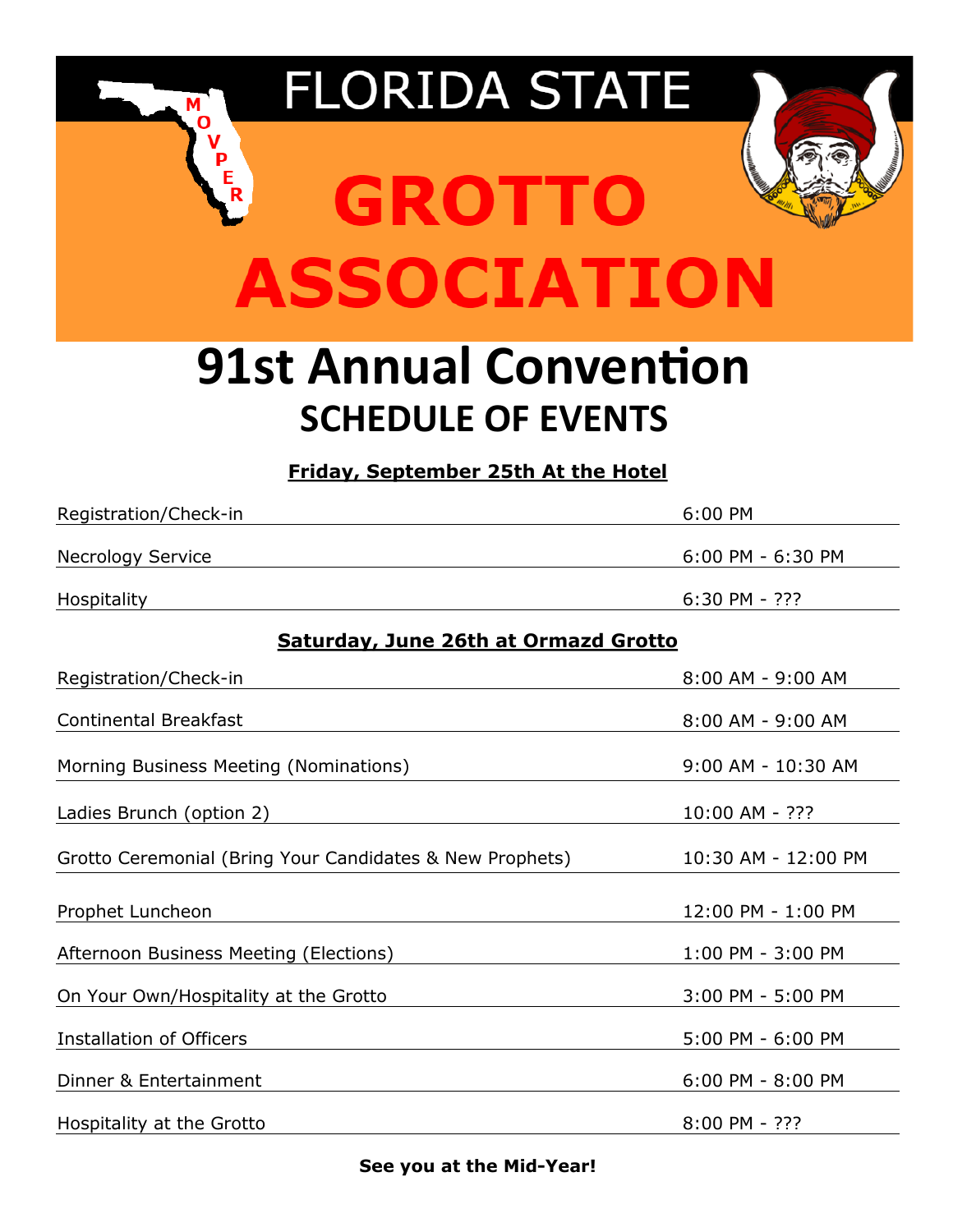

## **91st Annual Convention SCHEDULE OF EVENTS**

#### **Friday, September 25th At the Hotel**

| Registration/Check-in                                    | 6:00 PM             |  |  |  |  |
|----------------------------------------------------------|---------------------|--|--|--|--|
| <b>Necrology Service</b>                                 | 6:00 PM - 6:30 PM   |  |  |  |  |
| Hospitality                                              | 6:30 PM - ???       |  |  |  |  |
| <b>Saturday, June 26th at Ormazd Grotto</b>              |                     |  |  |  |  |
| Registration/Check-in                                    | 8:00 AM - 9:00 AM   |  |  |  |  |
| <b>Continental Breakfast</b>                             | 8:00 AM - 9:00 AM   |  |  |  |  |
| Morning Business Meeting (Nominations)                   | 9:00 AM - 10:30 AM  |  |  |  |  |
| Ladies Brunch (option 2)                                 | 10:00 AM - ???      |  |  |  |  |
| Grotto Ceremonial (Bring Your Candidates & New Prophets) | 10:30 AM - 12:00 PM |  |  |  |  |
| Prophet Luncheon                                         | 12:00 PM - 1:00 PM  |  |  |  |  |
| Afternoon Business Meeting (Elections)                   | 1:00 PM - 3:00 PM   |  |  |  |  |
| On Your Own/Hospitality at the Grotto                    | 3:00 PM - 5:00 PM   |  |  |  |  |
| <b>Installation of Officers</b>                          | 5:00 PM - 6:00 PM   |  |  |  |  |
| Dinner & Entertainment                                   | 6:00 PM - 8:00 PM   |  |  |  |  |
| Hospitality at the Grotto                                | $8:00$ PM - ???     |  |  |  |  |

#### **See you at the Mid-Year!**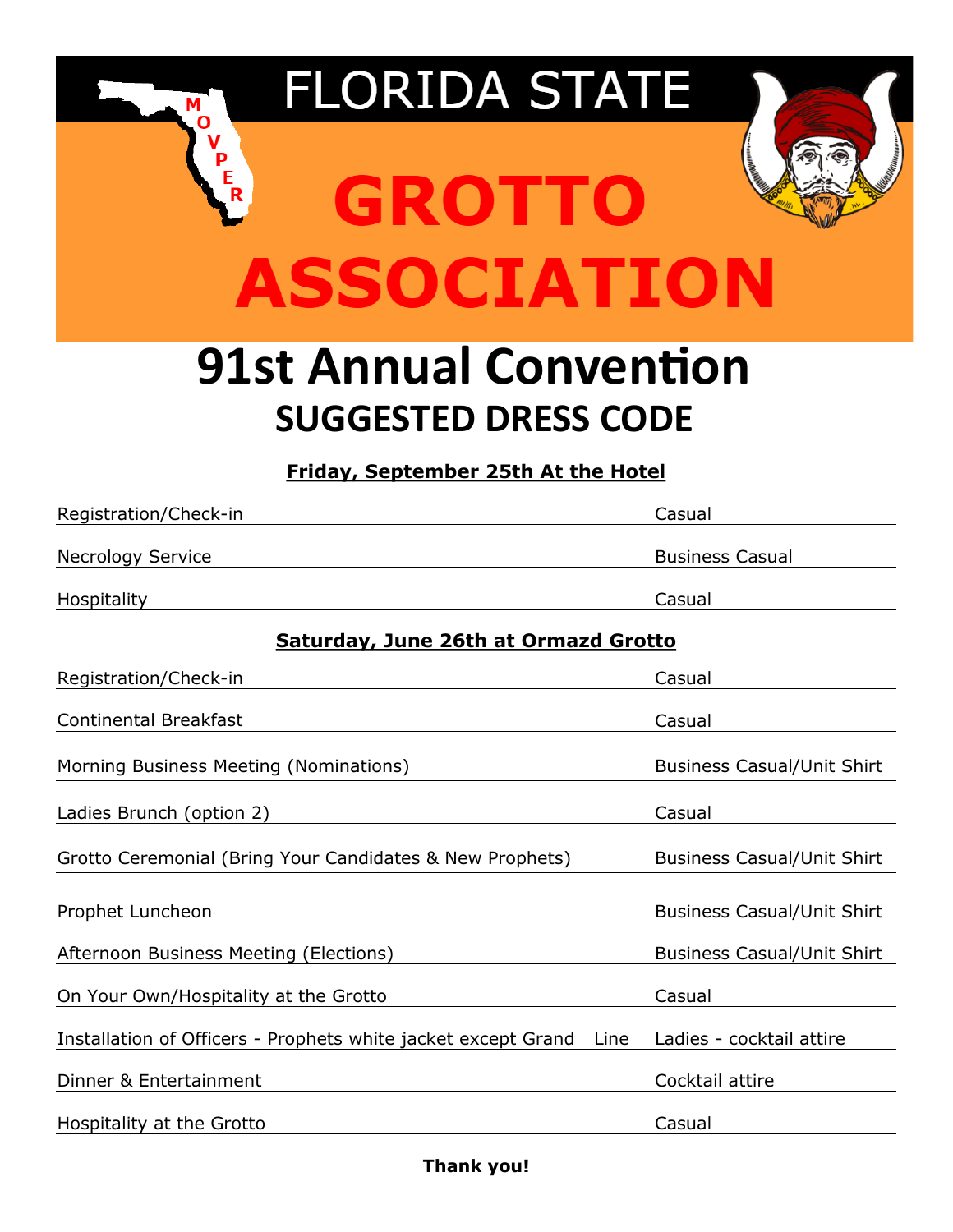

## **91st Annual Convention SUGGESTED DRESS CODE**

#### **Friday, September 25th At the Hotel**

| Registration/Check-in                                                 | Casual                                      |  |  |  |  |  |
|-----------------------------------------------------------------------|---------------------------------------------|--|--|--|--|--|
| <b>Necrology Service</b>                                              | <b>Business Casual</b>                      |  |  |  |  |  |
| Hospitality                                                           | Casual                                      |  |  |  |  |  |
|                                                                       | <b>Saturday, June 26th at Ormazd Grotto</b> |  |  |  |  |  |
| Registration/Check-in                                                 | Casual                                      |  |  |  |  |  |
| <b>Continental Breakfast</b>                                          | Casual                                      |  |  |  |  |  |
| Morning Business Meeting (Nominations)                                | <b>Business Casual/Unit Shirt</b>           |  |  |  |  |  |
| Ladies Brunch (option 2)                                              | Casual                                      |  |  |  |  |  |
| Grotto Ceremonial (Bring Your Candidates & New Prophets)              | <b>Business Casual/Unit Shirt</b>           |  |  |  |  |  |
| Prophet Luncheon                                                      | <b>Business Casual/Unit Shirt</b>           |  |  |  |  |  |
| Afternoon Business Meeting (Elections)                                | <b>Business Casual/Unit Shirt</b>           |  |  |  |  |  |
| On Your Own/Hospitality at the Grotto                                 | Casual                                      |  |  |  |  |  |
| Installation of Officers - Prophets white jacket except Grand<br>Line | Ladies - cocktail attire                    |  |  |  |  |  |
| Dinner & Entertainment                                                | Cocktail attire                             |  |  |  |  |  |
| Hospitality at the Grotto                                             | Casual                                      |  |  |  |  |  |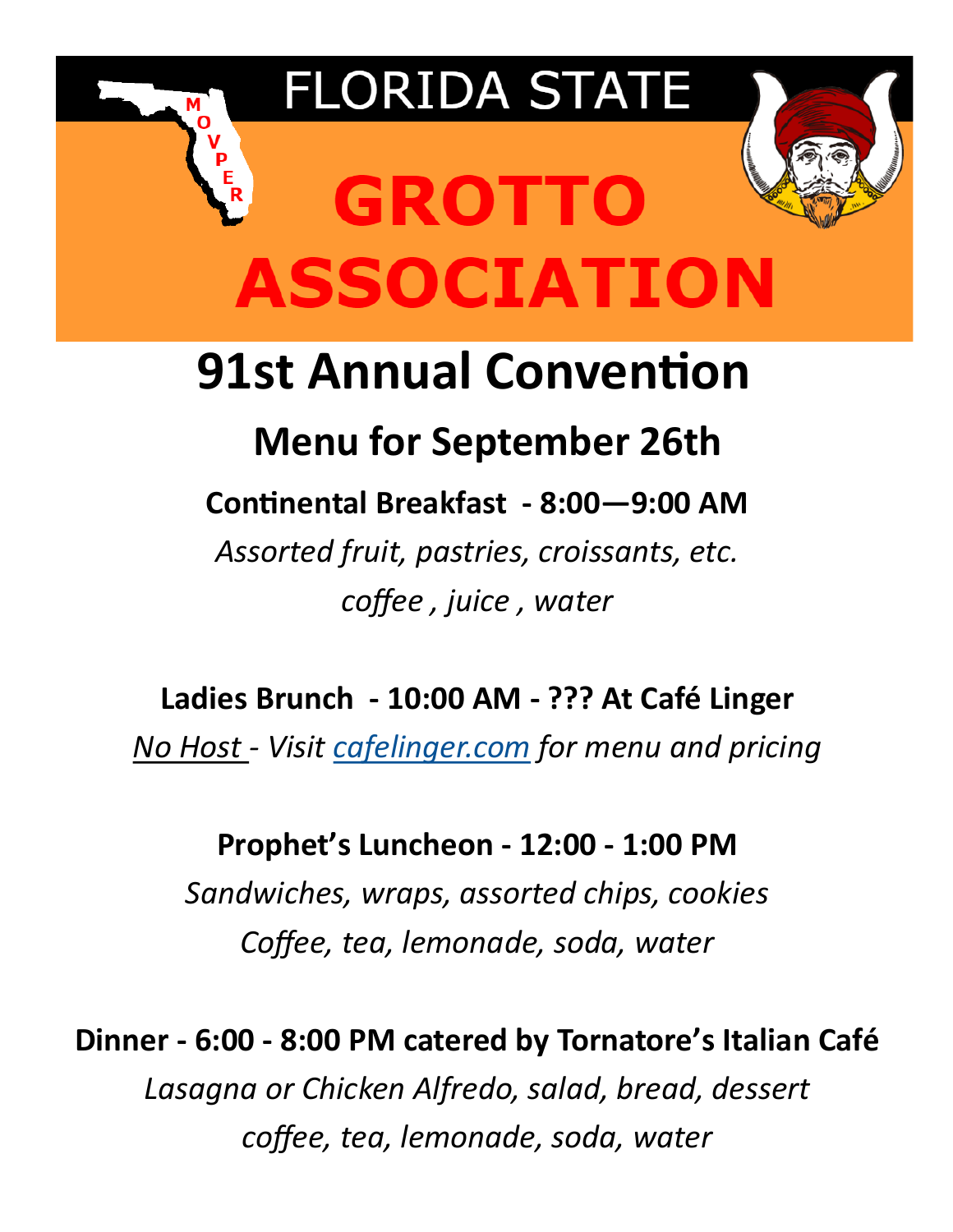

# **GROTTO ASSOCIATION**

## **91st Annual Convention**

## **Menu for September 26th**

**Continental Breakfast - 8:00—9:00 AM**

*Assorted fruit, pastries, croissants, etc. coffee , juice , water*

### **Ladies Brunch - 10:00 AM - ??? At Café Linger**

*No Host - Visit [cafelinger.com](https://cafelinger.com/) for menu and pricing*

### **Prophet's Luncheon - 12:00 - 1:00 PM**

*Sandwiches, wraps, assorted chips, cookies Coffee, tea, lemonade, soda, water*

**Dinner - 6:00 - 8:00 PM catered by Tornatore's Italian Café**  *Lasagna or Chicken Alfredo, salad, bread, dessert coffee, tea, lemonade, soda, water*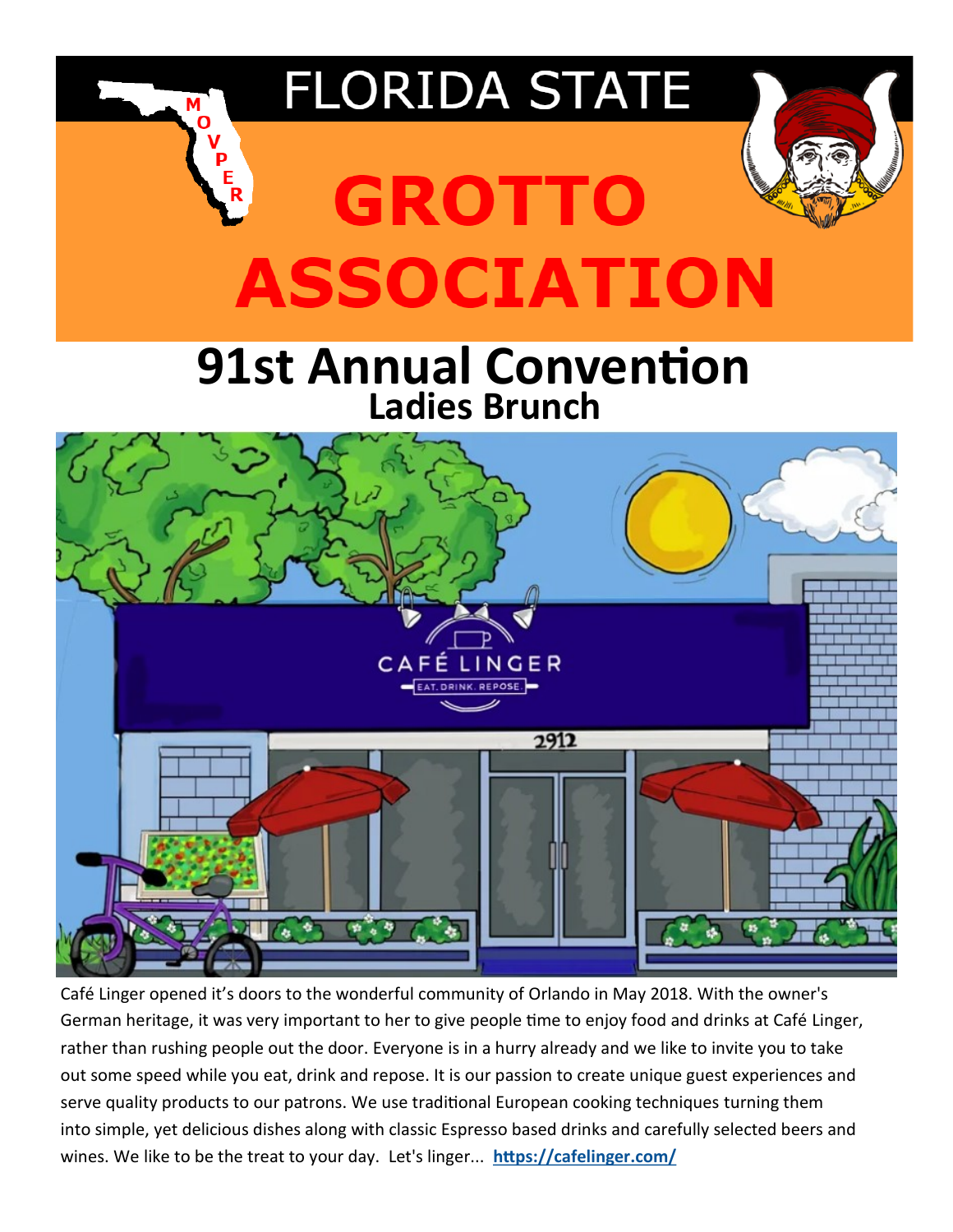

Café Linger opened it's doors to the wonderful community of Orlando in May 2018. With the owner's German heritage, it was very important to her to give people time to enjoy food and drinks at Café Linger, rather than rushing people out the door. Everyone is in a hurry already and we like to invite you to take out some speed while you eat, drink and repose. It is our passion to create unique guest experiences and serve quality products to our patrons. We use traditional European cooking techniques turning them into simple, yet delicious dishes along with classic Espresso based drinks and carefully selected beers and wines. We like to be the treat to your day. Let's linger... **<https://cafelinger.com/>**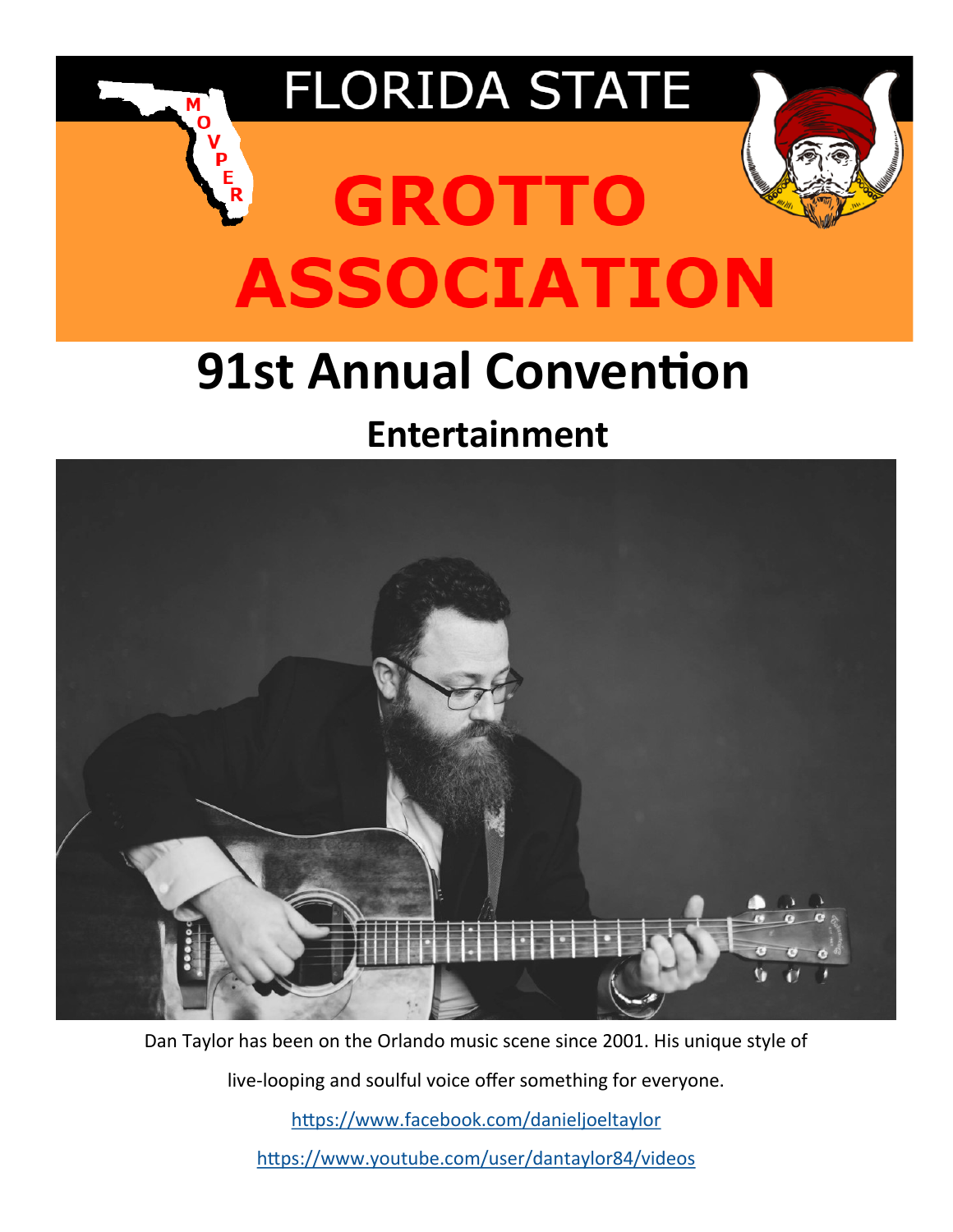

## **91st Annual Convention**

### **Entertainment**



Dan Taylor has been on the Orlando music scene since 2001. His unique style of live-looping and soulful voice offer something for everyone. <https://www.facebook.com/danieljoeltaylor> <https://www.youtube.com/user/dantaylor84/videos>